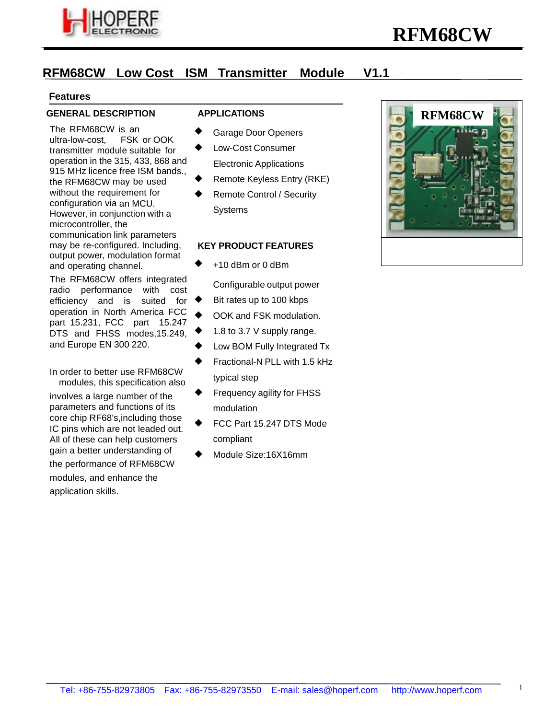

# **RFM68CW Low Cost ISM Transmitter Module V1.1**

#### **Features**

#### **GENERAL DESCRIPTION**

The RFM68CW is an<br>ultra-low-cost. FSK or OOK ultra-low-cost, transmitter module suitable for operation in the 315, 433, 868 and 915 MHz licence free ISM bands., the RFM68CW may be used without the requirement for configuration via an MCU. However, in conjunction with a microcontroller, the communication link parameters may be re-configured. Including, output power, modulation format and operating channel.

The RFM68CW offers integrated radio performance with cost efficiency and is suited for operation in North America FCC part 15.231, FCC part 15.247 DTS and FHSS modes,15.249, and Europe EN 300 220.

In order to better use RFM68CW modules, this specification also

involves a large number of the parameters and functions of its core chip RF68's,including those IC pins which are not leaded out. All of these can help customers gain a better understanding of the performance of RFM68CW modules, and enhance the application skills.

#### **APPLICATIONS**

- Garage Door Openers
- Low-Cost Consumer Electronic Applications
- Remote Keyless Entry (RKE)
- Remote Control / Security Systems

#### **KEY PRODUCT FEATURES**

+10 dBm or 0 dBm

Configurable output power

- Bit rates up to 100 kbps
- OOK and FSK modulation.
- 1.8 to 3.7 V supply range.
- Low BOM Fully Integrated Tx
- Fractional-N PLL with 1.5 kHz typical step
- Frequency agility for FHSS modulation
- FCC Part 15.247 DTS Mode compliant
- Module Size:16X16mm

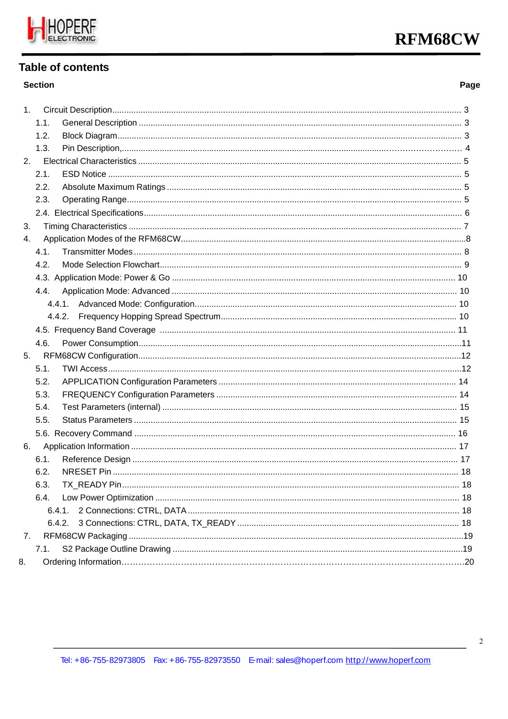

# **Table of contents**

#### **Section**

# Page

| 1. |        |  |
|----|--------|--|
|    | 1.1.   |  |
|    | 1.2.   |  |
|    | 1.3.   |  |
|    | 2.     |  |
|    | 2.1.   |  |
|    | 2.2.   |  |
|    | 2.3.   |  |
|    |        |  |
| 3. |        |  |
| 4. |        |  |
|    | 4.1.   |  |
|    | 4.2.   |  |
|    |        |  |
|    | 4.4.   |  |
|    | 4.4.1. |  |
|    | 4.4.2. |  |
|    |        |  |
|    | 4.6.   |  |
| 5. |        |  |
|    | 5.1.   |  |
|    | 5.2.   |  |
|    | 5.3.   |  |
|    | 5.4.   |  |
|    | 5.5.   |  |
|    |        |  |
| 6. |        |  |
|    | 6.1.   |  |
|    | 6.2.   |  |
|    | 6.3.   |  |
|    | 6.4.   |  |
|    | 6.4.1. |  |
|    | 6.4.2. |  |
| 7. |        |  |
|    | 7.1.   |  |
| 8. |        |  |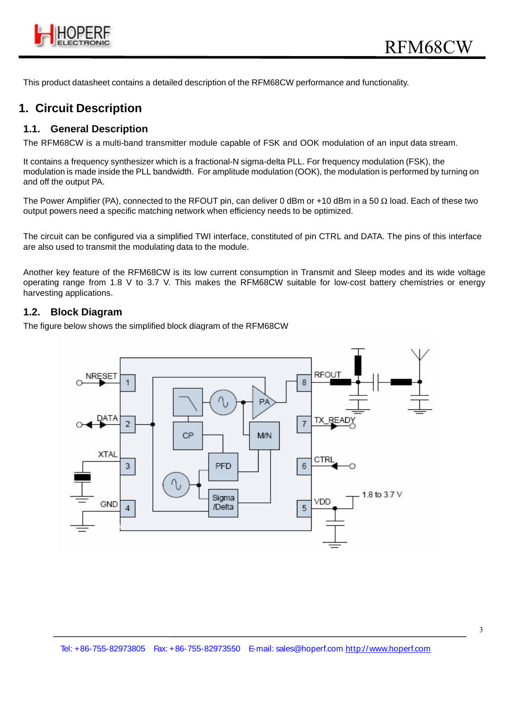

This product datasheet contains a detailed description of the RFM68CW performance and functionality.

# **1. Circuit Description**

#### **1.1. General Description**

The RFM68CW is a multi-band transmitter module capable of FSK and OOK modulation of an input data stream.

It contains a frequency synthesizer which is a fractional-N sigma-delta PLL. For frequency modulation (FSK), the modulation is made inside the PLL bandwidth. For amplitude modulation (OOK), the modulation is performed by turning on and off the output PA.

The Power Amplifier (PA), connected to the RFOUT pin, can deliver 0 dBm or +10 dBm in a 50  $\Omega$  load. Each of these two output powers need a specific matching network when efficiency needs to be optimized.

The circuit can be configured via a simplified TWI interface, constituted of pin CTRL and DATA. The pins of this interface are also used to transmit the modulating data to the module.

Another key feature of the RFM68CW is its low current consumption in Transmit and Sleep modes and its wide voltage operating range from 1.8 V to 3.7 V. This makes the RFM68CW suitable for low-cost battery chemistries or energy harvesting applications.

#### **1.2. Block Diagram**

The figure below shows the simplified block diagram of the RFM68CW

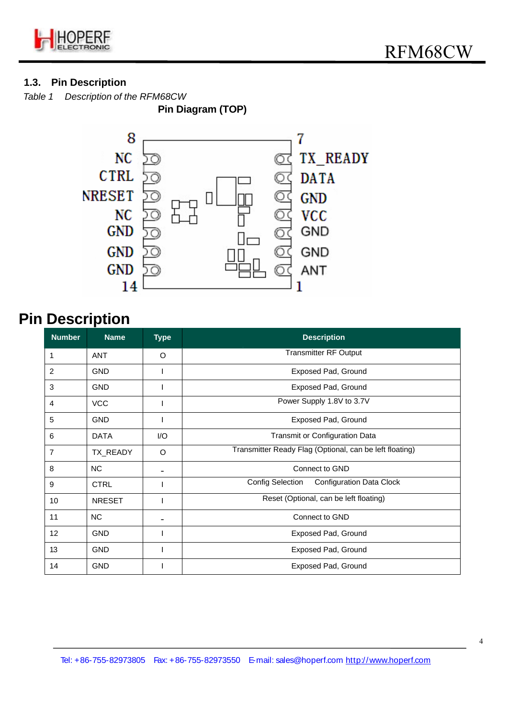

# **1.3. Pin Description**

*Table 1 Description of the RFM68CW*

**Pin Diagram (TOP)** 



# **Pin Description**

| <b>Number</b>   | <b>Name</b>   | <b>Type</b> | <b>Description</b>                                         |  |  |  |  |  |
|-----------------|---------------|-------------|------------------------------------------------------------|--|--|--|--|--|
| 1               | <b>ANT</b>    | O           | <b>Transmitter RF Output</b>                               |  |  |  |  |  |
| 2               | <b>GND</b>    |             | <b>Exposed Pad, Ground</b>                                 |  |  |  |  |  |
| 3               | <b>GND</b>    |             | Exposed Pad, Ground                                        |  |  |  |  |  |
| 4               | <b>VCC</b>    |             | Power Supply 1.8V to 3.7V                                  |  |  |  |  |  |
| 5               | <b>GND</b>    |             | <b>Exposed Pad, Ground</b>                                 |  |  |  |  |  |
| 6               | <b>DATA</b>   | I/O         | Transmit or Configuration Data                             |  |  |  |  |  |
| 7               | TX_READY      | O           | Transmitter Ready Flag (Optional, can be left floating)    |  |  |  |  |  |
| 8               | <b>NC</b>     |             | Connect to GND                                             |  |  |  |  |  |
| 9               | <b>CTRL</b>   |             | <b>Config Selection</b><br><b>Configuration Data Clock</b> |  |  |  |  |  |
| 10              | <b>NRESET</b> |             | Reset (Optional, can be left floating)                     |  |  |  |  |  |
| 11              | <b>NC</b>     |             | Connect to GND                                             |  |  |  |  |  |
| 12 <sub>2</sub> | <b>GND</b>    |             | <b>Exposed Pad, Ground</b>                                 |  |  |  |  |  |
| 13              | <b>GND</b>    |             | Exposed Pad, Ground                                        |  |  |  |  |  |
| 14              | <b>GND</b>    |             | <b>Exposed Pad, Ground</b>                                 |  |  |  |  |  |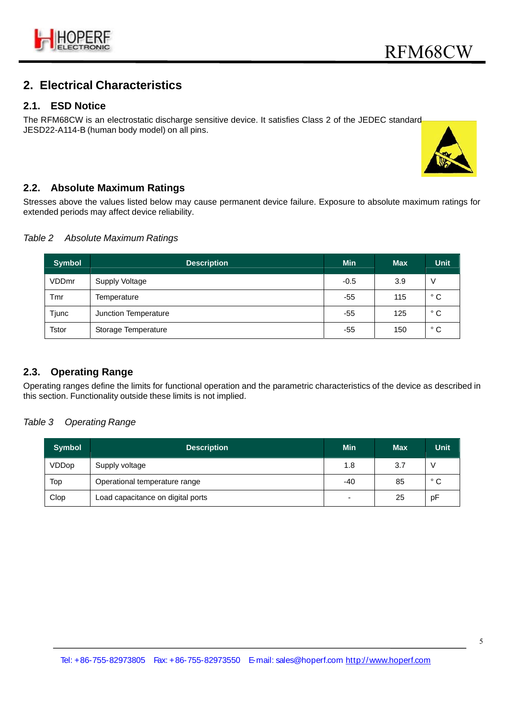

# **2. Electrical Characteristics**

#### **2.1. ESD Notice**

The RFM68CW is an electrostatic discharge sensitive device. It satisfies Class 2 of the JEDEC standard JESD22-A114-B (human body model) on all pins.



# **2.2. Absolute Maximum Ratings**

Stresses above the values listed below may cause permanent device failure. Exposure to absolute maximum ratings for extended periods may affect device reliability.

#### *Table 2 Absolute Maximum Ratings*

| <b>Symbol</b> | <b>Description</b>   | <b>Min</b> | <b>Max</b> | <b>Unit</b>  |
|---------------|----------------------|------------|------------|--------------|
| VDDmr         | Supply Voltage       | $-0.5$     | 3.9        | ٧            |
| Tmr           | Temperature          | -55        | 115        | $^{\circ}$ C |
| Tjunc         | Junction Temperature | -55        | 125        | $^{\circ}$ C |
| <b>Tstor</b>  | Storage Temperature  | -55        | 150        | $^{\circ}$ C |

### **2.3. Operating Range**

Operating ranges define the limits for functional operation and the parametric characteristics of the device as described in this section. Functionality outside these limits is not implied.

#### *Table 3 Operating Range*

| <b>Symbol</b> | <b>Description</b>                | <b>Min</b> | <b>Max</b> | <b>Unit</b>  |
|---------------|-----------------------------------|------------|------------|--------------|
| VDDop         | Supply voltage                    | 1.8        | 3.7        |              |
| Top           | Operational temperature range     | -40        | 85         | $^{\circ}$ C |
| Clop          | Load capacitance on digital ports |            | 25         | pF           |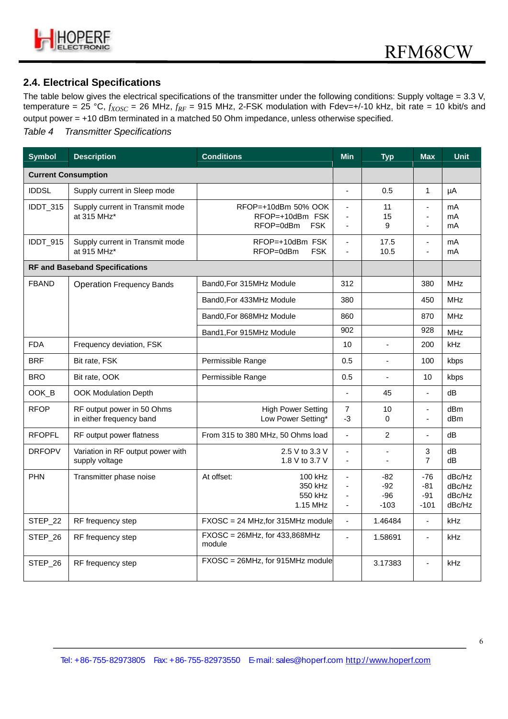

# **2.4. Electrical Specifications**

The table below gives the electrical specifications of the transmitter under the following conditions: Supply voltage = 3.3 V, temperature =  $25 \text{ °C}$ ,  $f_{XOSC}$  =  $26 \text{ MHz}$ ,  $f_{RF}$  = 915 MHz, 2-FSK modulation with Fdev=+/-10 kHz, bit rate = 10 kbit/s and output power = +10 dBm terminated in a matched 50 Ohm impedance, unless otherwise specified.

#### *Table 4 Transmitter Specifications*

| <b>Symbol</b>              | <b>Description</b>                                     | <b>Conditions</b>                                                 | <b>Min</b>                                         | <b>Typ</b>                        | <b>Max</b>                             | <b>Unit</b>                          |
|----------------------------|--------------------------------------------------------|-------------------------------------------------------------------|----------------------------------------------------|-----------------------------------|----------------------------------------|--------------------------------------|
| <b>Current Consumption</b> |                                                        |                                                                   |                                                    |                                   |                                        |                                      |
| <b>IDDSL</b>               | Supply current in Sleep mode                           |                                                                   | $\overline{a}$                                     | 0.5                               | 1                                      | μA                                   |
| IDDT_315                   | Supply current in Transmit mode<br>at 315 MHz*         | RFOP=+10dBm 50% OOK<br>RFOP=+10dBm FSK<br>RFOP=0dBm<br><b>FSK</b> | $\overline{a}$<br>$\overline{a}$<br>$\blacksquare$ | 11<br>15<br>9                     | $\overline{a}$<br>$\overline{a}$<br>ä, | mA<br>mA<br>mA                       |
| IDDT_915                   | Supply current in Transmit mode<br>at 915 MHz*         | RFOP=+10dBm FSK<br>RFOP=0dBm<br><b>FSK</b>                        | $\overline{a}$                                     | 17.5<br>10.5                      | $\overline{a}$                         | mA<br>mA                             |
|                            | <b>RF and Baseband Specifications</b>                  |                                                                   |                                                    |                                   |                                        |                                      |
| <b>FBAND</b>               | <b>Operation Frequency Bands</b>                       | Band0, For 315MHz Module                                          | 312                                                |                                   | 380                                    | <b>MHz</b>                           |
|                            |                                                        | Band0, For 433MHz Module                                          | 380                                                |                                   | 450                                    | <b>MHz</b>                           |
|                            |                                                        | Band0, For 868MHz Module                                          | 860                                                |                                   | 870                                    | <b>MHz</b>                           |
|                            |                                                        | Band1, For 915MHz Module                                          | 902                                                |                                   | 928                                    | <b>MHz</b>                           |
| <b>FDA</b>                 | Frequency deviation, FSK                               |                                                                   | 10                                                 | L.                                | 200                                    | <b>kHz</b>                           |
| <b>BRF</b>                 | Bit rate, FSK                                          | Permissible Range                                                 | 0.5                                                | L.                                | 100                                    | kbps                                 |
| <b>BRO</b>                 | Bit rate, OOK                                          | Permissible Range                                                 | 0.5                                                | $\blacksquare$                    | 10                                     | kbps                                 |
| OOK B                      | <b>OOK Modulation Depth</b>                            |                                                                   | $\mathbf{r}$                                       | 45                                | $\blacksquare$                         | dB                                   |
| <b>RFOP</b>                | RF output power in 50 Ohms<br>in either frequency band | <b>High Power Setting</b><br>Low Power Setting*                   | $\overline{7}$<br>-3                               | 10<br>$\Omega$                    | $\blacksquare$<br>÷,                   | dBm<br>dBm                           |
| <b>RFOPFL</b>              | RF output power flatness                               | From 315 to 380 MHz, 50 Ohms load                                 | ÷,                                                 | $\overline{2}$                    | $\blacksquare$                         | dB                                   |
| <b>DRFOPV</b>              | Variation in RF output power with<br>supply voltage    | 2.5 V to 3.3 V<br>1.8 V to 3.7 V                                  | ä,                                                 |                                   | 3<br>$\overline{7}$                    | dB<br>d <sub>B</sub>                 |
| <b>PHN</b>                 | Transmitter phase noise                                | At offset:<br>100 kHz<br>350 kHz<br>550 kHz<br>1.15 MHz           | ÷,<br>$\overline{a}$<br>ä,<br>ä,                   | $-82$<br>$-92$<br>$-96$<br>$-103$ | $-76$<br>$-81$<br>-91<br>$-101$        | dBc/Hz<br>dBc/Hz<br>dBc/Hz<br>dBc/Hz |
| STEP 22                    | RF frequency step                                      | $FXOSC = 24 MHz$ , for 315MHz module                              | $\blacksquare$                                     | 1.46484                           | $\blacksquare$                         | kHz                                  |
| STEP_26                    | RF frequency step                                      | $FXOSC = 26MHz$ , for 433,868MHz<br>module                        | $\overline{a}$                                     | 1.58691                           | $\blacksquare$                         | kHz                                  |
| STEP_26                    | RF frequency step                                      | FXOSC = 26MHz, for 915MHz module                                  |                                                    | 3.17383                           | $\blacksquare$                         | kHz                                  |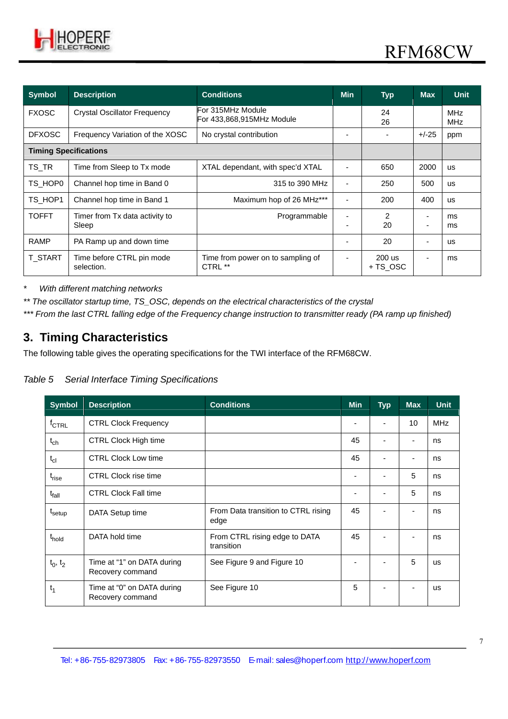

| <b>Symbol</b>                | <b>Description</b>                      | <b>Conditions</b>                              | <b>Min</b> | <b>Typ</b>           | <b>Max</b>     | <b>Unit</b>              |
|------------------------------|-----------------------------------------|------------------------------------------------|------------|----------------------|----------------|--------------------------|
| <b>FXOSC</b>                 | <b>Crystal Oscillator Frequency</b>     | For 315MHz Module<br>For 433,868,915MHz Module |            | 24<br>26             |                | <b>MHz</b><br><b>MHz</b> |
| <b>DFXOSC</b>                | Frequency Variation of the XOSC         | No crystal contribution                        |            |                      | $+/-25$        | ppm                      |
| <b>Timing Specifications</b> |                                         |                                                |            |                      |                |                          |
| TS_TR                        | Time from Sleep to Tx mode              | XTAL dependant, with spec'd XTAL               |            | 650                  | 2000           | <b>us</b>                |
| TS HOP0                      | Channel hop time in Band 0              | 315 to 390 MHz                                 |            | 250                  | 500            | <b>US</b>                |
| TS HOP1                      | Channel hop time in Band 1              | Maximum hop of 26 MHz***                       |            | 200                  | 400            | <b>US</b>                |
| <b>TOFFT</b>                 | Timer from Tx data activity to<br>Sleep | Programmable                                   |            | $\mathfrak{p}$<br>20 |                | ms<br>ms                 |
| <b>RAMP</b>                  | PA Ramp up and down time                |                                                |            | 20                   |                | <b>us</b>                |
| <b>T START</b>               | Time before CTRL pin mode<br>selection. | Time from power on to sampling of<br>CTRL **   |            | $200$ us<br>+ TS OSC | $\blacksquare$ | ms                       |

*\* With different matching networks*

*\*\* The oscillator startup time, TS\_OSC, depends on the electrical characteristics of the crystal*

*\*\*\* From the last CTRL falling edge of the Frequency change instruction to transmitter ready (PA ramp up finished)*

# **3. Timing Characteristics**

The following table gives the operating specifications for the TWI interface of the RFM68CW.

#### *Table 5 Serial Interface Timing Specifications*

| <b>Symbol</b>      | <b>Description</b>                             | <b>Conditions</b>                           | <b>Min</b> | <b>Typ</b> | <b>Max</b> | <b>Unit</b> |
|--------------------|------------------------------------------------|---------------------------------------------|------------|------------|------------|-------------|
| $f_{\text{CTRL}}$  | <b>CTRL Clock Frequency</b>                    |                                             |            | -          | 10         | <b>MHz</b>  |
| $t_{ch}$           | <b>CTRL Clock High time</b>                    |                                             | 45         |            | ٠          | ns          |
| $t_{cl}$           | <b>CTRL Clock Low time</b>                     |                                             | 45         |            | ٠          | ns          |
| $t_{rise}$         | <b>CTRL Clock rise time</b>                    |                                             |            |            | 5          | ns          |
| $t_{fall}$         | <b>CTRL Clock Fall time</b>                    |                                             |            | -          | 5          | ns          |
| t <sub>setup</sub> | DATA Setup time                                | From Data transition to CTRL rising<br>edge | 45         |            |            | ns          |
| t <sub>hold</sub>  | DATA hold time                                 | From CTRL rising edge to DATA<br>transition | 45         |            |            | ns          |
| $t_0, t_2$         | Time at "1" on DATA during<br>Recovery command | See Figure 9 and Figure 10                  |            |            | 5          | <b>US</b>   |
| $t_1$              | Time at "0" on DATA during<br>Recovery command | See Figure 10                               | 5          |            | -          | <b>us</b>   |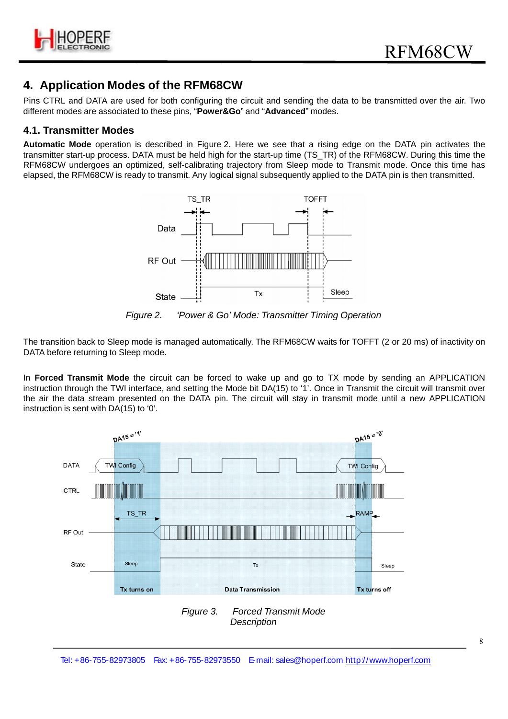

# **4. Application Modes of the RFM68CW**

Pins CTRL and DATA are used for both configuring the circuit and sending the data to be transmitted over the air. Two different modes are associated to these pins, "**Power&Go**" and "**Advanced**" modes.

#### **4.1. Transmitter Modes**

**Automatic Mode** operation is described in Figure 2. Here we see that a rising edge on the DATA pin activates the transmitter start-up process. DATA must be held high for the start-up time (TS\_TR) of the RFM68CW. During this time the RFM68CW undergoes an optimized, self-calibrating trajectory from Sleep mode to Transmit mode. Once this time has elapsed, the RFM68CW is ready to transmit. Any logical signal subsequently applied to the DATA pin is then transmitted.



*Figure 2. 'Power & Go' Mode: Transmitter Timing Operation*

The transition back to Sleep mode is managed automatically. The RFM68CW waits for TOFFT (2 or 20 ms) of inactivity on DATA before returning to Sleep mode.

In **Forced Transmit Mode** the circuit can be forced to wake up and go to TX mode by sending an APPLICATION instruction through the TWI interface, and setting the Mode bit DA(15) to '1'. Once in Transmit the circuit will transmit over the air the data stream presented on the DATA pin. The circuit will stay in transmit mode until a new APPLICATION instruction is sent with DA(15) to '0'.

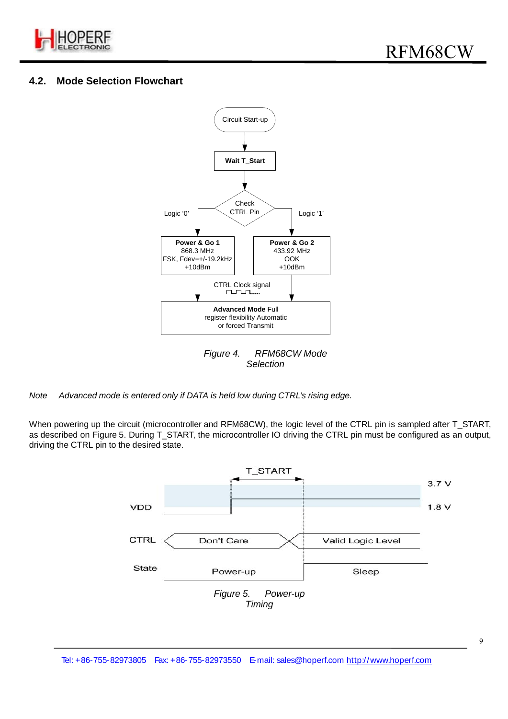

# **4.2. Mode Selection Flowchart**



*Note Advanced mode is entered only if DATA is held low during CTRL's rising edge.*

When powering up the circuit (microcontroller and RFM68CW), the logic level of the CTRL pin is sampled after T\_START, as described on Figure 5. During T\_START, the microcontroller IO driving the CTRL pin must be configured as an output, driving the CTRL pin to the desired state.

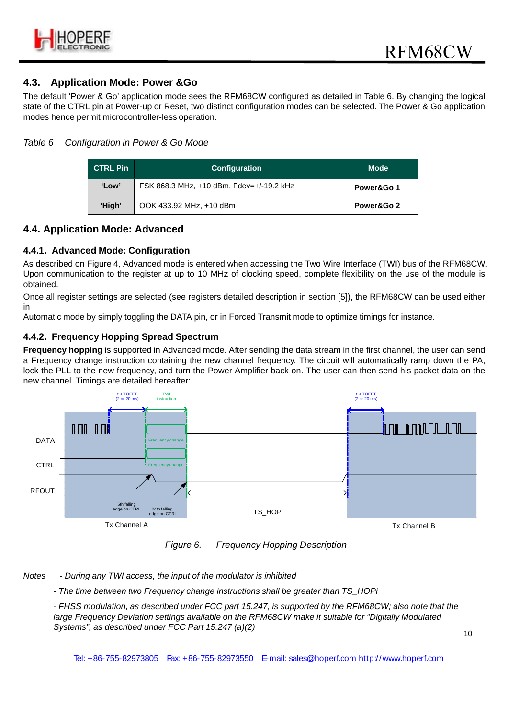

### **4.3. Application Mode: Power &Go**

The default 'Power & Go' application mode sees the RFM68CW configured as detailed in Table 6. By changing the logical state of the CTRL pin at Power-up or Reset, two distinct configuration modes can be selected. The Power & Go application modes hence permit microcontroller-less operation.

#### *Table 6 Configuration in Power & Go Mode*

| <b>CTRL Pin</b> | <b>Configuration</b>                     | <b>Mode</b> |
|-----------------|------------------------------------------|-------------|
| 'Low'           | FSK 868.3 MHz, +10 dBm, Fdev=+/-19.2 kHz | Power&Go 1  |
| 'High'          | OOK 433.92 MHz, +10 dBm                  | Power&Go 2  |

#### **4.4. Application Mode: Advanced**

#### **4.4.1. Advanced Mode: Configuration**

As described on Figure 4, Advanced mode is entered when accessing the Two Wire Interface (TWI) bus of the RFM68CW. Upon communication to the register at up to 10 MHz of clocking speed, complete flexibility on the use of the module is obtained.

Once all register settings are selected (see registers detailed description in section [5]), the RFM68CW can be used either in

Automatic mode by simply toggling the DATA pin, or in Forced Transmit mode to optimize timings for instance.

#### **4.4.2. Frequency Hopping Spread Spectrum**

**Frequency hopping** is supported in Advanced mode. After sending the data stream in the first channel, the user can send a Frequency change instruction containing the new channel frequency. The circuit will automatically ramp down the PA, lock the PLL to the new frequency, and turn the Power Amplifier back on. The user can then send his packet data on the new channel. Timings are detailed hereafter:



*Figure 6. Frequency Hopping Description*

*Notes - During any TWI access, the input of the modulator is inhibited*

*- The time between two Frequency change instructions shall be greater than TS\_HOPi*

*- FHSS modulation, as described under FCC part 15.247, is supported by the RFM68CW; also note that the large Frequency Deviation settings available on the RFM68CW make it suitable for "Digitally Modulated Systems", as described under FCC Part 15.247 (a)(2)*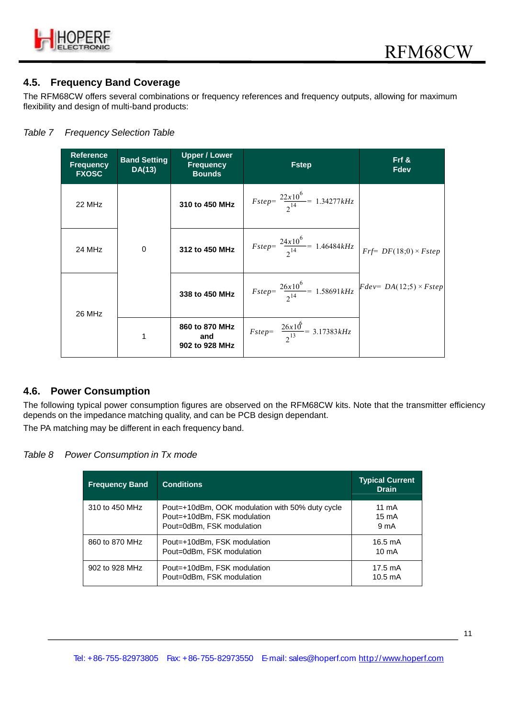

### **4.5. Frequency Band Coverage**

The RFM68CW offers several combinations or frequency references and frequency outputs, allowing for maximum flexibility and design of multi-band products:

#### *Table 7 Frequency Selection Table*

| <b>Reference</b><br><b>Frequency</b><br><b>FXOSC</b> | <b>Band Setting</b><br>DA(13) | <b>Upper / Lower</b><br><b>Frequency</b><br><b>Bounds</b> | <b>Fstep</b>                                                                               | $Frf$ &<br><b>Fdev</b> |
|------------------------------------------------------|-------------------------------|-----------------------------------------------------------|--------------------------------------------------------------------------------------------|------------------------|
| 22 MHz                                               |                               | 310 to 450 MHz                                            | $Fstep = \frac{22x10^{6}}{2^{14}} = 1.34277kHz$                                            |                        |
| 24 MHz                                               | $\Omega$                      | 312 to 450 MHz                                            | $Fstep = \frac{24x10^{6}}{2^{14}} = 1.46484kHz \left  Frf = DF(18;0) \times Fstep \right $ |                        |
| 26 MHz                                               |                               | 338 to 450 MHz                                            | $Fstep = \frac{26x10^{6}}{2^{14}} = 1.58691kHz$ $Fdev = DA(12.5) \times Fstep$             |                        |
|                                                      | 1                             | 860 to 870 MHz<br>and<br>902 to 928 MHz                   | $Fstep = \frac{26x10^6}{2^{13}} = 3.17383kHz$                                              |                        |

#### **4.6. Power Consumption**

The following typical power consumption figures are observed on the RFM68CW kits. Note that the transmitter efficiency depends on the impedance matching quality, and can be PCB design dependant. The PA matching may be different in each frequency band.

#### *Table 8 Power Consumption in Tx mode*

| <b>Frequency Band</b> | <b>Conditions</b>                                                                                           | <b>Typical Current</b><br><b>Drain</b>               |
|-----------------------|-------------------------------------------------------------------------------------------------------------|------------------------------------------------------|
| 310 to 450 MHz        | Pout=+10dBm, OOK modulation with 50% duty cycle<br>Pout=+10dBm, FSK modulation<br>Pout=0dBm, FSK modulation | $11 \text{ mA}$<br>$15 \text{ mA}$<br>$9 \text{ mA}$ |
| 860 to 870 MHz        | Pout=+10dBm, FSK modulation<br>Pout=0dBm, FSK modulation                                                    | $16.5 \text{ mA}$<br>$10 \text{ mA}$                 |
| $902$ to $928$ MHz    | Pout=+10dBm, FSK modulation<br>Pout=0dBm, FSK modulation                                                    | $17.5 \text{ mA}$<br>$10.5 \text{ mA}$               |

11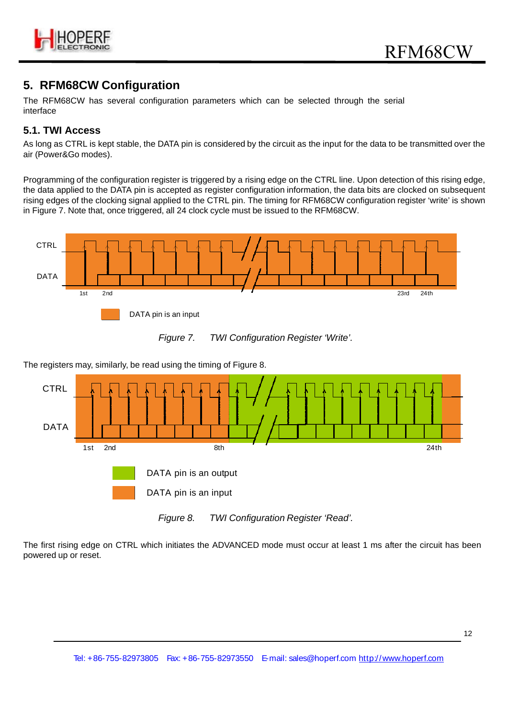

# **5. RFM68CW Configuration**

The RFM68CW has several configuration parameters which can be selected through the serial interface

# **5.1. TWI Access**

As long as CTRL is kept stable, the DATA pin is considered by the circuit as the input for the data to be transmitted over the air (Power&Go modes).

Programming of the configuration register is triggered by a rising edge on the CTRL line. Upon detection of this rising edge, the data applied to the DATA pin is accepted as register configuration information, the data bits are clocked on subsequent rising edges of the clocking signal applied to the CTRL pin. The timing for RFM68CW configuration register 'write' is shown in Figure 7. Note that, once triggered, all 24 clock cycle must be issued to the RFM68CW.





The registers may, similarly, be read using the timing of Figure 8.





The first rising edge on CTRL which initiates the ADVANCED mode must occur at least 1 ms after the circuit has been powered up or reset.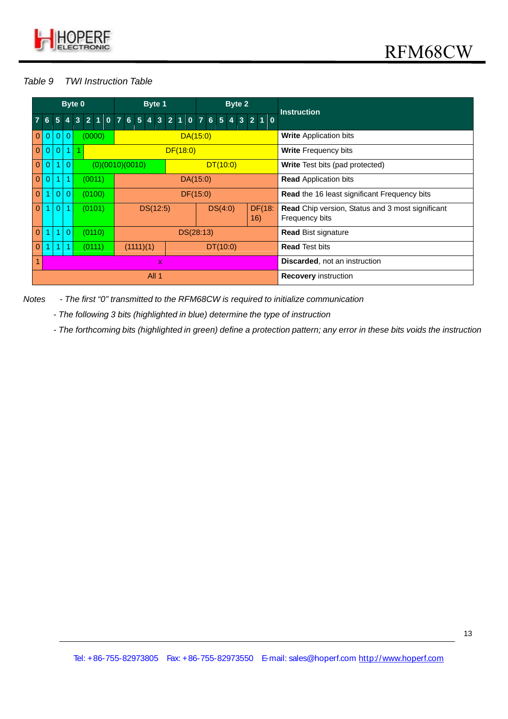

# *Table 9 TWI Instruction Table*

|                    |                                |                                 | Byte 0         |  |   |        |  |          |                                      |                             | Byte 1   |  |                              |                                     |  |          |  |  | Byte 2 |                |                 |  | <b>Instruction</b>                                                        |  |  |  |
|--------------------|--------------------------------|---------------------------------|----------------|--|---|--------|--|----------|--------------------------------------|-----------------------------|----------|--|------------------------------|-------------------------------------|--|----------|--|--|--------|----------------|-----------------|--|---------------------------------------------------------------------------|--|--|--|
|                    | 6                              | 5 <sup>5</sup>                  |                |  | 3 |        |  |          | 2 1 0 7 6 5 4                        |                             |          |  | $3 \quad 2 \quad 1$          | $0 \overline{7} 6 5 \overline{4} 3$ |  |          |  |  |        | $\overline{2}$ | $1\overline{0}$ |  |                                                                           |  |  |  |
|                    | $\mathbf{0}$<br>$\overline{0}$ | $\overline{0}$                  | $\Omega$       |  |   | (0000) |  |          |                                      |                             |          |  |                              | DA(15:0)                            |  |          |  |  |        |                |                 |  | <b>Write Application bits</b>                                             |  |  |  |
|                    | $\mathbf{0}$<br>$\Omega$       | $\overline{0}$                  |                |  | 1 |        |  |          |                                      |                             |          |  | DF(18:0)                     |                                     |  |          |  |  |        |                |                 |  | <b>Write Frequency bits</b>                                               |  |  |  |
|                    | $\mathbf{0}$<br>0              |                                 | $\Omega$       |  |   |        |  |          | (0)(0010)(0010)                      |                             |          |  |                              |                                     |  | DT(10:0) |  |  |        |                |                 |  | <b>Write</b> Test bits (pad protected)                                    |  |  |  |
|                    | $\mathbf{0}$<br>0              |                                 |                |  |   | (0011) |  | DA(15:0) |                                      |                             |          |  | <b>Read Application bits</b> |                                     |  |          |  |  |        |                |                 |  |                                                                           |  |  |  |
|                    | $\mathbf{0}$<br>1              | $\theta$                        | $\overline{0}$ |  |   | (0100) |  |          |                                      |                             |          |  |                              | DF(15:0)                            |  |          |  |  |        |                |                 |  | <b>Read the 16 least significant Frequency bits</b>                       |  |  |  |
|                    | $\mathbf{0}$<br>1              | $\Omega$                        |                |  |   | (0101) |  |          |                                      |                             | DS(12:5) |  |                              |                                     |  | DS(4:0)  |  |  |        | 16)            | DF(18:          |  | <b>Read</b> Chip version, Status and 3 most significant<br>Frequency bits |  |  |  |
|                    | $\mathbf{0}$                   |                                 | $\Omega$       |  |   | (0110) |  |          |                                      |                             |          |  |                              | DS(28:13)                           |  |          |  |  |        |                |                 |  | <b>Read Bist signature</b>                                                |  |  |  |
|                    | $\mathbf{0}$                   | (0111)<br>(1111)(1)<br>DT(10:0) |                |  |   |        |  |          | <b>Read Test bits</b>                |                             |          |  |                              |                                     |  |          |  |  |        |                |                 |  |                                                                           |  |  |  |
| $\mathbf{1}$<br>X. |                                |                                 |                |  |   |        |  |          | <b>Discarded, not an instruction</b> |                             |          |  |                              |                                     |  |          |  |  |        |                |                 |  |                                                                           |  |  |  |
|                    | All 1                          |                                 |                |  |   |        |  |          |                                      | <b>Recovery instruction</b> |          |  |                              |                                     |  |          |  |  |        |                |                 |  |                                                                           |  |  |  |

*Notes - The first "0" transmitted to the RFM68CW is required to initialize communication*

*- The following 3 bits (highlighted in blue) determine the type of instruction*

*- The forthcoming bits (highlighted in green) define a protection pattern; any error in these bits voids the instruction*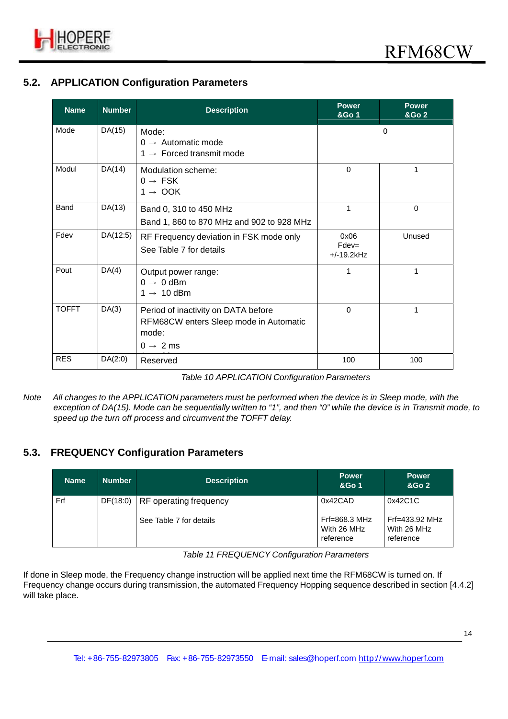

# **5.2. APPLICATION Configuration Parameters**

| <b>Name</b>  | <b>Number</b> | <b>Description</b>                                                                                             | <b>Power</b><br>&Go 1             | <b>Power</b><br><b>&amp;Go 2</b> |
|--------------|---------------|----------------------------------------------------------------------------------------------------------------|-----------------------------------|----------------------------------|
| Mode         | DA(15)        | Mode:<br>$0 \rightarrow$ Automatic mode<br>1 $\rightarrow$ Forced transmit mode                                |                                   | $\Omega$                         |
| Modul        | DA(14)        | Modulation scheme:<br>$0 \rightarrow FSK$<br>$1 \rightarrow$ OOK                                               | $\mathbf 0$                       | 1                                |
| Band         | DA(13)        | Band 0, 310 to 450 MHz<br>Band 1, 860 to 870 MHz and 902 to 928 MHz                                            | $\mathbf{1}$                      | 0                                |
| Fdev         | DA(12:5)      | RF Frequency deviation in FSK mode only<br>See Table 7 for details                                             | 0x06<br>$Fdev =$<br>$+/-19.2$ kHz | Unused                           |
| Pout         | DA(4)         | Output power range:<br>$0 \rightarrow 0$ dBm<br>$1 \rightarrow 10$ dBm                                         | 1                                 | 1                                |
| <b>TOFFT</b> | DA(3)         | Period of inactivity on DATA before<br>RFM68CW enters Sleep mode in Automatic<br>mode:<br>$0 \rightarrow 2$ ms | $\Omega$                          | 1                                |
| <b>RES</b>   | DA(2:0)       | Reserved                                                                                                       | 100                               | 100                              |

| Table 10 APPLICATION Configuration Parameters |
|-----------------------------------------------|
|                                               |

*Note All changes to the APPLICATION parameters must be performed when the device is in Sleep mode, with the exception of DA(15). Mode can be sequentially written to "1", and then "0" while the device is in Transmit mode, to speed up the turn off process and circumvent the TOFFT delay.*

# **5.3. FREQUENCY Configuration Parameters**

| <b>Name</b> | <b>Number</b> | <b>Description</b>                                           | <b>Power</b><br>&Go 1                                            | <b>Power</b><br>&Go 2                                     |
|-------------|---------------|--------------------------------------------------------------|------------------------------------------------------------------|-----------------------------------------------------------|
| Frf         |               | DF(18:0)   RF operating frequency<br>See Table 7 for details | 0x42CAD<br>$Frf = 868.3 \text{ MHz}$<br>With 26 MHz<br>reference | 0x42C1C<br>$Frf = 433.92$ MHz<br>With 26 MHz<br>reference |

*Table 11 FREQUENCY Configuration Parameters*

If done in Sleep mode, the Frequency change instruction will be applied next time the RFM68CW is turned on. If Frequency change occurs during transmission, the automated Frequency Hopping sequence described in section [4.4.2] will take place.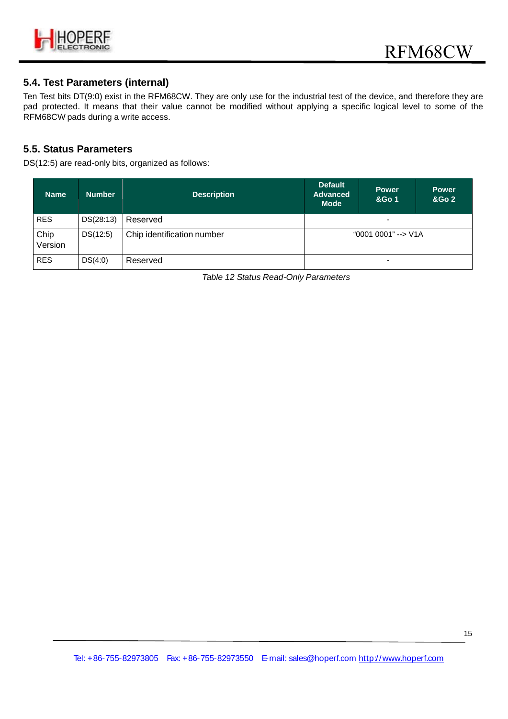

#### **5.4. Test Parameters (internal)**

Ten Test bits DT(9:0) exist in the RFM68CW. They are only use for the industrial test of the device, and therefore they are pad protected. It means that their value cannot be modified without applying a specific logical level to some of the RFM68CW pads during a write access.

#### **5.5. Status Parameters**

DS(12:5) are read-only bits, organized as follows:

| <b>Name</b>     | Number    | <b>Description</b>         | <b>Default</b><br><b>Advanced</b><br><b>Mode</b> | <b>Power</b><br>&Go 1 | <b>Power</b><br><b>&amp;Go 2</b> |
|-----------------|-----------|----------------------------|--------------------------------------------------|-----------------------|----------------------------------|
| <b>RES</b>      | DS(28:13) | Reserved                   | ۰                                                |                       |                                  |
| Chip<br>Version | DS(12:5)  | Chip identification number | "0001 0001" --> V1A                              |                       |                                  |
| <b>RES</b>      | DS(4:0)   | Reserved                   | ٠                                                |                       |                                  |

*Table 12 Status Read-Only Parameters*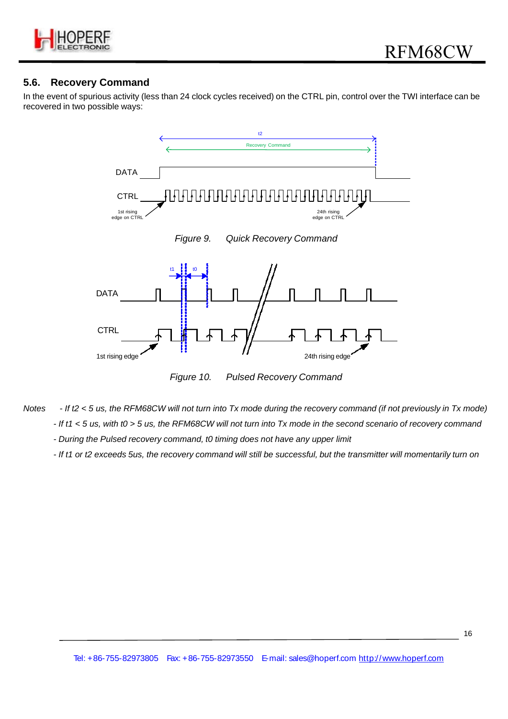

#### **5.6. Recovery Command**

In the event of spurious activity (less than 24 clock cycles received) on the CTRL pin, control over the TWI interface can be recovered in two possible ways:



*Figure 10. Pulsed Recovery Command*

- *Notes If t2 < 5 us, the RFM68CW will not turn into Tx mode during the recovery command (if not previously in Tx mode) - If t1 < 5 us, with t0 > 5 us, the RFM68CW will not turn into Tx mode in the second scenario of recovery command*
	- *During the Pulsed recovery command, t0 timing does not have any upper limit*
	- *If t1 or t2 exceeds 5us, the recovery command will still be successful, but the transmitter will momentarily turn on*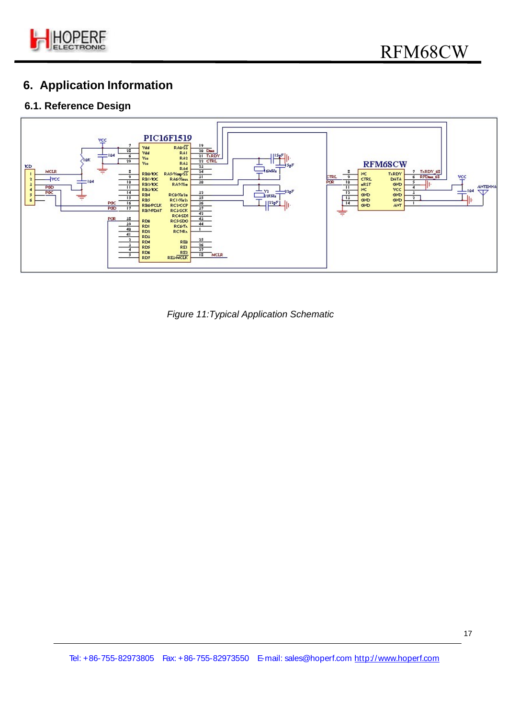

# **6. Application Information**

# **6.1. Reference Design**



*Figure 11:Typical Application Schematic*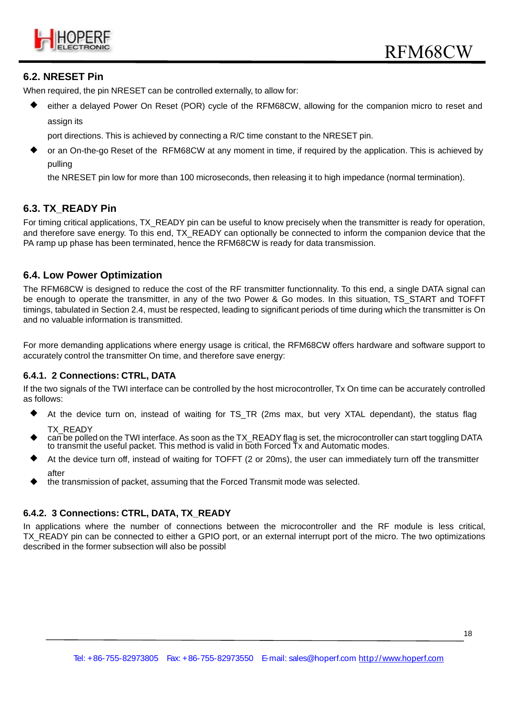

#### **6.2. NRESET Pin**

When required, the pin NRESET can be controlled externally, to allow for:

 either a delayed Power On Reset (POR) cycle of the RFM68CW, allowing for the companion micro to reset and assign its

port directions. This is achieved by connecting a R/C time constant to the NRESET pin.

 or an On-the-go Reset of the RFM68CW at any moment in time, if required by the application. This is achieved by pulling

the NRESET pin low for more than 100 microseconds, then releasing it to high impedance (normal termination).

### **6.3. TX\_READY Pin**

For timing critical applications, TX, READY pin can be useful to know precisely when the transmitter is ready for operation, and therefore save energy. To this end, TX\_READY can optionally be connected to inform the companion device that the PA ramp up phase has been terminated, hence the RFM68CW is ready for data transmission.

#### **6.4. Low Power Optimization**

The RFM68CW is designed to reduce the cost of the RF transmitter functionnality. To this end, a single DATA signal can be enough to operate the transmitter, in any of the two Power & Go modes. In this situation, TS\_START and TOFFT timings, tabulated in Section 2.4, must be respected, leading to significant periods of time during which the transmitter is On and no valuable information is transmitted.

For more demanding applications where energy usage is critical, the RFM68CW offers hardware and software support to accurately control the transmitter On time, and therefore save energy:

#### **6.4.1. 2 Connections: CTRL, DATA**

If the two signals of the TWI interface can be controlled by the host microcontroller, Tx On time can be accurately controlled as follows:

- At the device turn on, instead of waiting for TS\_TR (2ms max, but very XTAL dependant), the status flag TX\_READY
- can be polled on the TWI interface. As soon as the TX\_READY flag is set, the microcontroller can start toggling DATA to transmit the useful packet. This method is valid in both Forced Tx and Automatic modes.
- At the device turn off, instead of waiting for TOFFT (2 or 20ms), the user can immediately turn off the transmitter after
- the transmission of packet, assuming that the Forced Transmit mode was selected.

#### **6.4.2. 3 Connections: CTRL, DATA, TX\_READY**

In applications where the number of connections between the microcontroller and the RF module is less critical, TX\_READY pin can be connected to either a GPIO port, or an external interrupt port of the micro. The two optimizations described in the former subsection will also be possibl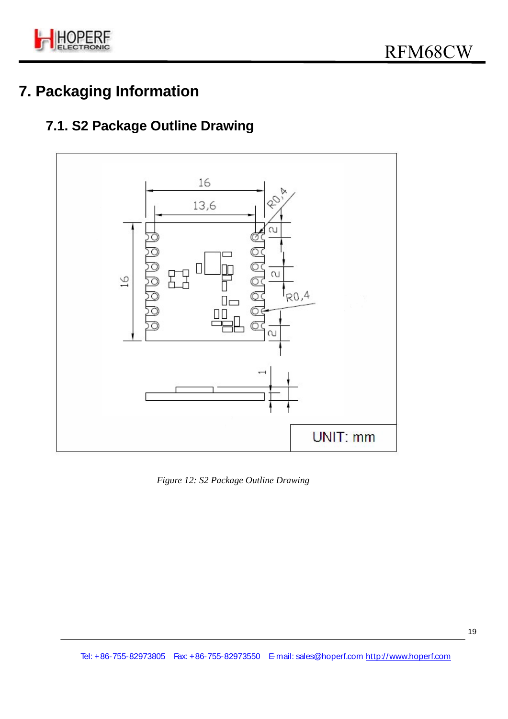

# **7. Packaging Information**

# **7.1. S2 Package Outline Drawing**



*Figure 12: S2 Package Outline Drawing*